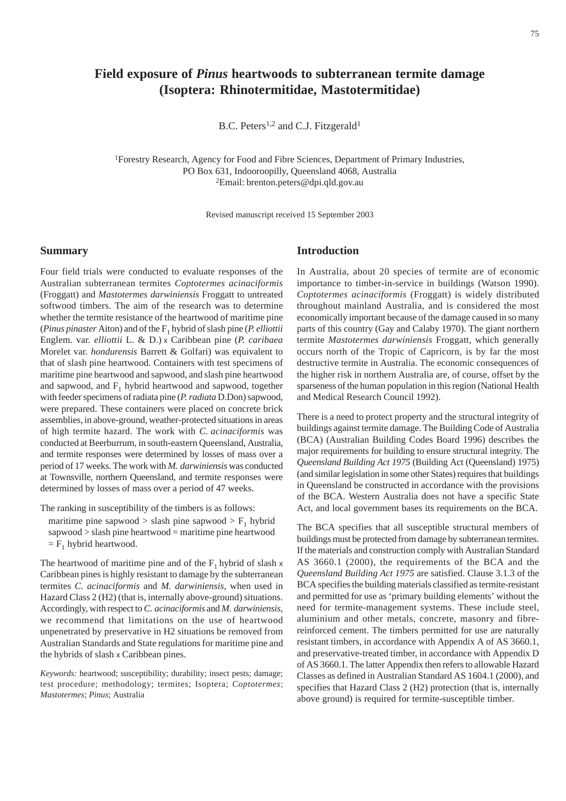# **Field exposure of** *Pinus* **heartwoods to subterranean termite damage (Isoptera: Rhinotermitidae, Mastotermitidae)**

B.C. Peters<sup>1,2</sup> and C.J. Fitzgerald<sup>1</sup>

1Forestry Research, Agency for Food and Fibre Sciences, Department of Primary Industries, PO Box 631, Indooroopilly, Queensland 4068, Australia 2Email: brenton.peters@dpi.qld.gov.au

Revised manuscript received 15 September 2003

## **Summary**

Four field trials were conducted to evaluate responses of the Australian subterranean termites *Coptotermes acinaciformis* (Froggatt) and *Mastotermes darwiniensis* Froggatt to untreated softwood timbers. The aim of the research was to determine whether the termite resistance of the heartwood of maritime pine (*Pinus pinaster* Aiton) and of the F1 hybrid of slash pine (*P. elliottii* Englem. var. *elliottii* L. & D.) x Caribbean pine (*P. caribaea* Morelet var. *hondurensis* Barrett & Golfari) was equivalent to that of slash pine heartwood. Containers with test specimens of maritime pine heartwood and sapwood, and slash pine heartwood and sapwood, and  $F_1$  hybrid heartwood and sapwood, together with feeder specimens of radiata pine (*P. radiata* D.Don) sapwood, were prepared. These containers were placed on concrete brick assemblies, in above-ground, weather-protected situations in areas of high termite hazard. The work with *C. acinaciformis* was conducted at Beerburrum, in south-eastern Queensland, Australia, and termite responses were determined by losses of mass over a period of 17 weeks. The work with *M. darwiniensis* was conducted at Townsville, northern Queensland, and termite responses were determined by losses of mass over a period of 47 weeks.

The ranking in susceptibility of the timbers is as follows:

maritime pine sapwood > slash pine sapwood >  $F_1$  hybrid sapwood > slash pine heartwood = maritime pine heartwood  $=$  F<sub>1</sub> hybrid heartwood.

The heartwood of maritime pine and of the  $F_1$  hybrid of slash x Caribbean pines is highly resistant to damage by the subterranean termites *C. acinaciformis* and *M. darwiniensis*, when used in Hazard Class 2 (H2) (that is, internally above-ground) situations. Accordingly, with respect to *C. acinaciformis* and *M. darwiniensis*, we recommend that limitations on the use of heartwood unpenetrated by preservative in H2 situations be removed from Australian Standards and State regulations for maritime pine and the hybrids of slash x Caribbean pines.

*Keywords:* heartwood; susceptibility; durability; insect pests; damage; test procedure; methodology; termites; Isoptera; *Coptotermes*; *Mastotermes*; *Pinus*; Australia

# **Introduction**

In Australia, about 20 species of termite are of economic importance to timber-in-service in buildings (Watson 1990). *Coptotermes acinaciformis* (Froggatt) is widely distributed throughout mainland Australia, and is considered the most economically important because of the damage caused in so many parts of this country (Gay and Calaby 1970). The giant northern termite *Mastotermes darwiniensis* Froggatt, which generally occurs north of the Tropic of Capricorn, is by far the most destructive termite in Australia. The economic consequences of the higher risk in northern Australia are, of course, offset by the sparseness of the human population in this region (National Health and Medical Research Council 1992).

There is a need to protect property and the structural integrity of buildings against termite damage. The Building Code of Australia (BCA) (Australian Building Codes Board 1996) describes the major requirements for building to ensure structural integrity. The *Queensland Building Act 1975* (Building Act (Queensland) 1975) (and similar legislation in some other States) requires that buildings in Queensland be constructed in accordance with the provisions of the BCA. Western Australia does not have a specific State Act, and local government bases its requirements on the BCA.

The BCA specifies that all susceptible structural members of buildings must be protected from damage by subterranean termites. If the materials and construction comply with Australian Standard AS 3660.1 (2000), the requirements of the BCA and the *Queensland Building Act 1975* are satisfied. Clause 3.1.3 of the BCA specifies the building materials classified as termite-resistant and permitted for use as 'primary building elements' without the need for termite-management systems. These include steel, aluminium and other metals, concrete, masonry and fibrereinforced cement. The timbers permitted for use are naturally resistant timbers, in accordance with Appendix A of AS 3660.1, and preservative-treated timber, in accordance with Appendix D of AS 3660.1. The latter Appendix then refers to allowable Hazard Classes as defined in Australian Standard AS 1604.1 (2000), and specifies that Hazard Class 2 (H2) protection (that is, internally above ground) is required for termite-susceptible timber.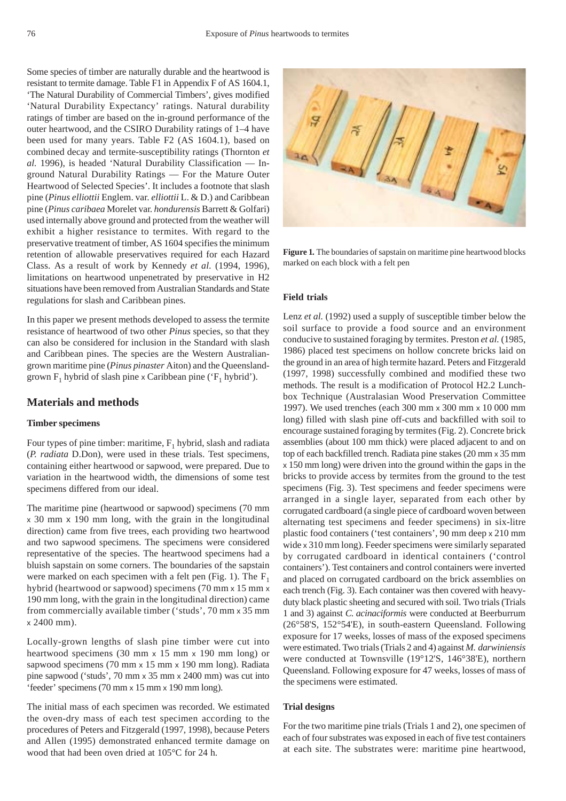Some species of timber are naturally durable and the heartwood is resistant to termite damage. Table F1 in Appendix F of AS 1604.1, 'The Natural Durability of Commercial Timbers', gives modified 'Natural Durability Expectancy' ratings. Natural durability ratings of timber are based on the in-ground performance of the outer heartwood, and the CSIRO Durability ratings of 1–4 have been used for many years. Table F2 (AS 1604.1), based on combined decay and termite-susceptibility ratings (Thornton *et al.* 1996), is headed 'Natural Durability Classification — Inground Natural Durability Ratings — For the Mature Outer Heartwood of Selected Species'. It includes a footnote that slash pine (*Pinus elliottii* Englem. var. *elliottii* L. & D.) and Caribbean pine (*Pinus caribaea* Morelet var. *hondurensis* Barrett & Golfari) used internally above ground and protected from the weather will exhibit a higher resistance to termites. With regard to the preservative treatment of timber, AS 1604 specifies the minimum retention of allowable preservatives required for each Hazard Class. As a result of work by Kennedy *et al.* (1994, 1996), limitations on heartwood unpenetrated by preservative in H2 situations have been removed from Australian Standards and State regulations for slash and Caribbean pines.

In this paper we present methods developed to assess the termite resistance of heartwood of two other *Pinus* species, so that they can also be considered for inclusion in the Standard with slash and Caribbean pines. The species are the Western Australiangrown maritime pine (*Pinus pinaster* Aiton) and the Queenslandgrown  $F_1$  hybrid of slash pine x Caribbean pine (' $F_1$  hybrid').

## **Materials and methods**

## **Timber specimens**

Four types of pine timber: maritime,  $F_1$  hybrid, slash and radiata (*P. radiata* D.Don), were used in these trials. Test specimens, containing either heartwood or sapwood, were prepared. Due to variation in the heartwood width, the dimensions of some test specimens differed from our ideal.

The maritime pine (heartwood or sapwood) specimens (70 mm x 30 mm x 190 mm long, with the grain in the longitudinal direction) came from five trees, each providing two heartwood and two sapwood specimens. The specimens were considered representative of the species. The heartwood specimens had a bluish sapstain on some corners. The boundaries of the sapstain were marked on each specimen with a felt pen (Fig. 1). The  $F_1$ hybrid (heartwood or sapwood) specimens (70 mm x 15 mm x 190 mm long, with the grain in the longitudinal direction) came from commercially available timber ('studs', 70 mm x 35 mm x 2400 mm).

Locally-grown lengths of slash pine timber were cut into heartwood specimens (30 mm x 15 mm x 190 mm long) or sapwood specimens (70 mm x 15 mm x 190 mm long). Radiata pine sapwood ('studs', 70 mm x 35 mm x 2400 mm) was cut into 'feeder' specimens (70 mm x 15 mm x 190 mm long).

The initial mass of each specimen was recorded. We estimated the oven-dry mass of each test specimen according to the procedures of Peters and Fitzgerald (1997, 1998), because Peters and Allen (1995) demonstrated enhanced termite damage on wood that had been oven dried at 105°C for 24 h.

**Figure 1***.* The boundaries of sapstain on maritime pine heartwood blocks marked on each block with a felt pen

## **Field trials**

Lenz *et al.* (1992) used a supply of susceptible timber below the soil surface to provide a food source and an environment conducive to sustained foraging by termites. Preston *et al.* (1985, 1986) placed test specimens on hollow concrete bricks laid on the ground in an area of high termite hazard. Peters and Fitzgerald (1997, 1998) successfully combined and modified these two methods. The result is a modification of Protocol H2.2 Lunchbox Technique (Australasian Wood Preservation Committee 1997). We used trenches (each 300 mm x 300 mm x 10 000 mm long) filled with slash pine off-cuts and backfilled with soil to encourage sustained foraging by termites (Fig. 2). Concrete brick assemblies (about 100 mm thick) were placed adjacent to and on top of each backfilled trench. Radiata pine stakes (20 mm x 35 mm x 150 mm long) were driven into the ground within the gaps in the bricks to provide access by termites from the ground to the test specimens (Fig. 3). Test specimens and feeder specimens were arranged in a single layer, separated from each other by corrugated cardboard (a single piece of cardboard woven between alternating test specimens and feeder specimens) in six-litre plastic food containers ('test containers', 90 mm deep x 210 mm wide x 310 mm long). Feeder specimens were similarly separated by corrugated cardboard in identical containers ('control containers'). Test containers and control containers were inverted and placed on corrugated cardboard on the brick assemblies on each trench (Fig. 3). Each container was then covered with heavyduty black plastic sheeting and secured with soil. Two trials (Trials 1 and 3) against *C. acinaciformis* were conducted at Beerburrum (26°58'S, 152°54'E), in south-eastern Queensland. Following exposure for 17 weeks, losses of mass of the exposed specimens were estimated. Two trials (Trials 2 and 4) against *M. darwiniensis* were conducted at Townsville (19°12'S, 146°38'E), northern Queensland*.* Following exposure for 47 weeks, losses of mass of the specimens were estimated.

#### **Trial designs**

For the two maritime pine trials (Trials 1 and 2), one specimen of each of four substrates was exposed in each of five test containers at each site. The substrates were: maritime pine heartwood,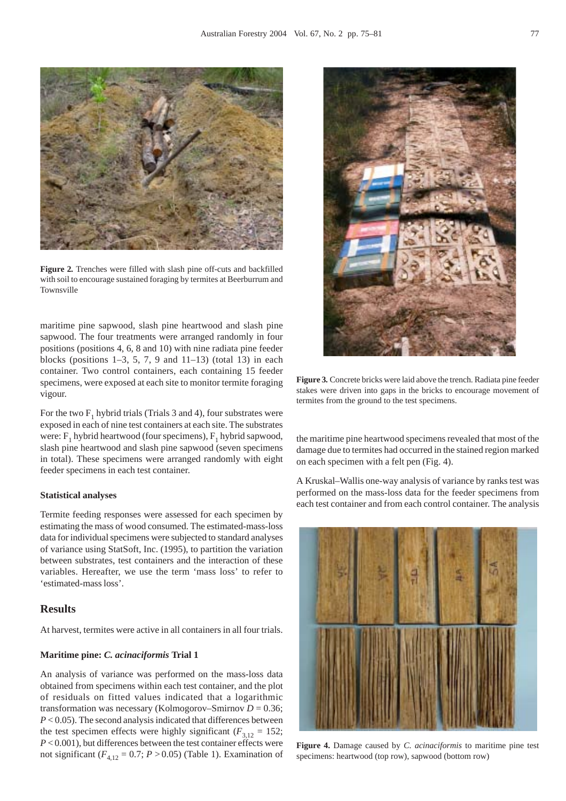

**Figure 2***.* Trenches were filled with slash pine off-cuts and backfilled with soil to encourage sustained foraging by termites at Beerburrum and Townsville

maritime pine sapwood, slash pine heartwood and slash pine sapwood. The four treatments were arranged randomly in four positions (positions 4, 6, 8 and 10) with nine radiata pine feeder blocks (positions  $1-3$ , 5, 7, 9 and  $11-13$ ) (total 13) in each container. Two control containers, each containing 15 feeder specimens, were exposed at each site to monitor termite foraging vigour.

For the two  $F_1$  hybrid trials (Trials 3 and 4), four substrates were exposed in each of nine test containers at each site. The substrates were:  $F_1$  hybrid heartwood (four specimens),  $F_1$  hybrid sapwood, slash pine heartwood and slash pine sapwood (seven specimens in total). These specimens were arranged randomly with eight feeder specimens in each test container.

#### **Statistical analyses**

Termite feeding responses were assessed for each specimen by estimating the mass of wood consumed. The estimated-mass-loss data for individual specimens were subjected to standard analyses of variance using StatSoft, Inc. (1995), to partition the variation between substrates, test containers and the interaction of these variables. Hereafter, we use the term 'mass loss' to refer to 'estimated-mass loss'.

## **Results**

At harvest, termites were active in all containers in all four trials.

#### **Maritime pine:** *C. acinaciformis* **Trial 1**

An analysis of variance was performed on the mass-loss data obtained from specimens within each test container, and the plot of residuals on fitted values indicated that a logarithmic transformation was necessary (Kolmogorov–Smirnov  $D = 0.36$ ; *P* < 0.05). The second analysis indicated that differences between the test specimen effects were highly significant ( $F_{3,12} = 152$ ; *P* < 0.001), but differences between the test container effects were not significant  $(F_{4,12} = 0.7; P > 0.05)$  (Table 1). Examination of



**Figure 3***.* Concrete bricks were laid above the trench. Radiata pine feeder stakes were driven into gaps in the bricks to encourage movement of termites from the ground to the test specimens.

the maritime pine heartwood specimens revealed that most of the damage due to termites had occurred in the stained region marked on each specimen with a felt pen (Fig. 4).

A Kruskal–Wallis one-way analysis of variance by ranks test was performed on the mass-loss data for the feeder specimens from each test container and from each control container. The analysis



**Figure 4.** Damage caused by *C. acinaciformis* to maritime pine test specimens: heartwood (top row), sapwood (bottom row)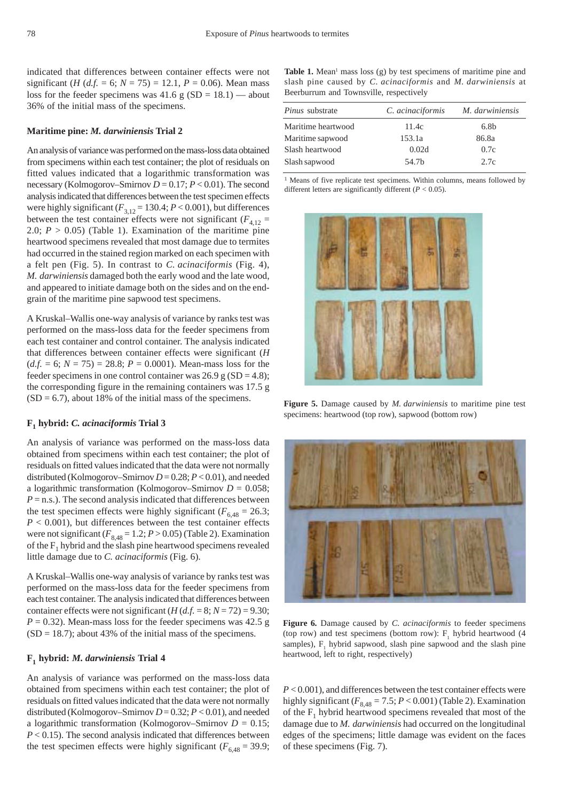indicated that differences between container effects were not significant (*H* (*d.f.* = 6;  $N = 75$ ) = 12.1,  $P = 0.06$ ). Mean mass loss for the feeder specimens was  $41.6 \text{ g} (SD = 18.1)$  — about 36% of the initial mass of the specimens.

#### **Maritime pine:** *M. darwiniensis* **Trial 2**

An analysis of variance was performed on the mass-loss data obtained from specimens within each test container; the plot of residuals on fitted values indicated that a logarithmic transformation was necessary (Kolmogorov–Smirnov  $D = 0.17$ ;  $P < 0.01$ ). The second analysis indicated that differences between the test specimen effects were highly significant  $(F_{3,12} = 130.4; P < 0.001)$ , but differences between the test container effects were not significant  $(F_{4,12} =$ 2.0;  $P > 0.05$ ) (Table 1). Examination of the maritime pine heartwood specimens revealed that most damage due to termites had occurred in the stained region marked on each specimen with a felt pen (Fig. 5). In contrast to *C. acinaciformis* (Fig. 4), *M. darwiniensis* damaged both the early wood and the late wood, and appeared to initiate damage both on the sides and on the endgrain of the maritime pine sapwood test specimens.

A Kruskal–Wallis one-way analysis of variance by ranks test was performed on the mass-loss data for the feeder specimens from each test container and control container. The analysis indicated that differences between container effects were significant (*H*  $(d.f. = 6; N = 75) = 28.8; P = 0.0001$ . Mean-mass loss for the feeder specimens in one control container was  $26.9$  g (SD = 4.8); the corresponding figure in the remaining containers was 17.5 g  $(SD = 6.7)$ , about 18% of the initial mass of the specimens.

#### **F1 hybrid:** *C. acinaciformis* **Trial 3**

An analysis of variance was performed on the mass-loss data obtained from specimens within each test container; the plot of residuals on fitted values indicated that the data were not normally distributed (Kolmogorov–Smirnov *D* = 0.28; *P* < 0.01), and needed a logarithmic transformation (Kolmogorov–Smirnov  $D = 0.058$ ;  $P =$ n.s.). The second analysis indicated that differences between the test specimen effects were highly significant ( $F_{6,48} = 26.3$ ;  $P < 0.001$ ), but differences between the test container effects were not significant  $(F_{8,48} = 1.2; P > 0.05)$  (Table 2). Examination of the  $F_1$  hybrid and the slash pine heartwood specimens revealed little damage due to *C. acinaciformis* (Fig. 6).

A Kruskal–Wallis one-way analysis of variance by ranks test was performed on the mass-loss data for the feeder specimens from each test container. The analysis indicated that differences between container effects were not significant  $(H(d.f. = 8; N = 72) = 9.30;$  $P = 0.32$ ). Mean-mass loss for the feeder specimens was 42.5 g  $(SD = 18.7)$ ; about 43% of the initial mass of the specimens.

#### **F1 hybrid:** *M. darwiniensis* **Trial 4**

An analysis of variance was performed on the mass-loss data obtained from specimens within each test container; the plot of residuals on fitted values indicated that the data were not normally distributed (Kolmogorov–Smirnov *D* = 0.32; *P* < 0.01), and needed a logarithmic transformation (Kolmogorov–Smirnov  $D = 0.15$ ;  $P < 0.15$ ). The second analysis indicated that differences between the test specimen effects were highly significant ( $F_{6,48} = 39.9$ ;

Table 1. Mean<sup>1</sup> mass loss (g) by test specimens of maritime pine and slash pine caused by *C. acinaciformis* and *M. darwiniensis* at Beerburrum and Townsville, respectively

| <i>Pinus</i> substrate | C. acinaciformis | M. darwiniensis  |
|------------------------|------------------|------------------|
| Maritime heartwood     | 11.4c            | 6.8 <sub>b</sub> |
| Maritime sapwood       | 153.1a           | 86.8a            |
| Slash heartwood        | 0.02d            | 0.7c             |
| Slash sapwood          | 54.7b            | 2.7c             |

<sup>1</sup> Means of five replicate test specimens. Within columns, means followed by different letters are significantly different (*P* < 0.05).



**Figure 5.** Damage caused by *M. darwiniensis* to maritime pine test specimens: heartwood (top row), sapwood (bottom row)



**Figure 6***.* Damage caused by *C. acinaciformis* to feeder specimens (top row) and test specimens (bottom row):  $F_1$  hybrid heartwood (4 samples),  $F_1$  hybrid sapwood, slash pine sapwood and the slash pine heartwood, left to right, respectively)

*P* < 0.001), and differences between the test container effects were highly significant  $(F_{8,48} = 7.5; P < 0.001)$  (Table 2). Examination of the  $F_1$  hybrid heartwood specimens revealed that most of the damage due to *M. darwiniensis* had occurred on the longitudinal edges of the specimens; little damage was evident on the faces of these specimens (Fig. 7).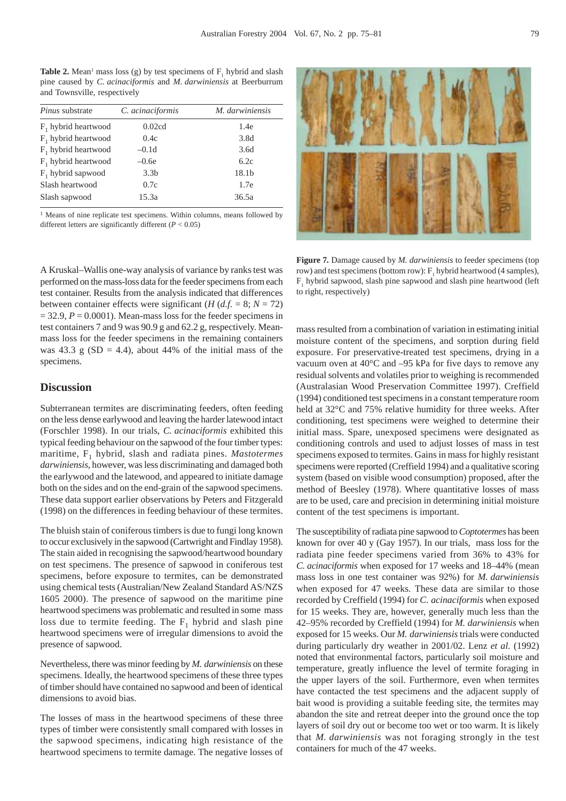**Table 2.** Mean<sup>1</sup> mass loss (g) by test specimens of  $F_1$  hybrid and slash pine caused by *C. acinaciformis* and *M. darwiniensis* at Beerburrum and Townsville, respectively

| <i>Pinus</i> substrate | C. acinaciformis | M. darwiniensis |
|------------------------|------------------|-----------------|
| $F_1$ hybrid heartwood | 0.02cd           | 1.4e            |
| $F_1$ hybrid heartwood | 0.4c             | 3.8d            |
| $F_1$ hybrid heartwood | $-0.1d$          | 3.6d            |
| $F_1$ hybrid heartwood | $-0.6e$          | 6.2c            |
| $F_1$ hybrid sapwood   | 3.3 <sub>b</sub> | 18.1b           |
| Slash heartwood        | 0.7c             | 1.7e            |
| Slash sapwood          | 15.3a            | 36.5a           |

<sup>1</sup> Means of nine replicate test specimens. Within columns, means followed by different letters are significantly different (*P* < 0.05)



**Figure 7***.* Damage caused by *M. darwiniensis* to feeder specimens (top row) and test specimens (bottom row):  $F_1$  hybrid heartwood (4 samples),  $F_1$  hybrid sapwood, slash pine sapwood and slash pine heartwood (left to right, respectively)

A Kruskal–Wallis one-way analysis of variance by ranks test was performed on the mass-loss data for the feeder specimens from each test container. Results from the analysis indicated that differences between container effects were significant (*H* (*d.f.* = 8;  $N = 72$ )  $= 32.9, P = 0.0001$ ). Mean-mass loss for the feeder specimens in test containers 7 and 9 was 90.9 g and 62.2 g, respectively. Meanmass loss for the feeder specimens in the remaining containers was 43.3 g (SD = 4.4), about 44% of the initial mass of the specimens.

## **Discussion**

Subterranean termites are discriminating feeders, often feeding on the less dense earlywood and leaving the harder latewood intact (Forschler 1998). In our trials, *C. acinaciformis* exhibited this typical feeding behaviour on the sapwood of the four timber types: maritime, F<sub>1</sub> hybrid, slash and radiata pines. *Mastotermes darwiniensis*, however, was less discriminating and damaged both the earlywood and the latewood, and appeared to initiate damage both on the sides and on the end-grain of the sapwood specimens. These data support earlier observations by Peters and Fitzgerald (1998) on the differences in feeding behaviour of these termites.

The bluish stain of coniferous timbers is due to fungi long known to occur exclusively in the sapwood (Cartwright and Findlay 1958). The stain aided in recognising the sapwood/heartwood boundary on test specimens. The presence of sapwood in coniferous test specimens, before exposure to termites, can be demonstrated using chemical tests (Australian/New Zealand Standard AS/NZS 1605 2000). The presence of sapwood on the maritime pine heartwood specimens was problematic and resulted in some mass loss due to termite feeding. The  $F_1$  hybrid and slash pine heartwood specimens were of irregular dimensions to avoid the presence of sapwood.

Nevertheless, there was minor feeding by *M. darwiniensis* on these specimens. Ideally, the heartwood specimens of these three types of timber should have contained no sapwood and been of identical dimensions to avoid bias.

The losses of mass in the heartwood specimens of these three types of timber were consistently small compared with losses in the sapwood specimens, indicating high resistance of the heartwood specimens to termite damage. The negative losses of mass resulted from a combination of variation in estimating initial moisture content of the specimens, and sorption during field exposure. For preservative-treated test specimens, drying in a vacuum oven at 40°C and –95 kPa for five days to remove any residual solvents and volatiles prior to weighing is recommended (Australasian Wood Preservation Committee 1997). Creffield (1994) conditioned test specimens in a constant temperature room held at 32°C and 75% relative humidity for three weeks. After conditioning, test specimens were weighed to determine their initial mass. Spare, unexposed specimens were designated as conditioning controls and used to adjust losses of mass in test specimens exposed to termites. Gains in mass for highly resistant specimens were reported (Creffield 1994) and a qualitative scoring system (based on visible wood consumption) proposed, after the method of Beesley (1978). Where quantitative losses of mass are to be used, care and precision in determining initial moisture content of the test specimens is important.

The susceptibility of radiata pine sapwood to *Coptotermes* has been known for over 40 y (Gay 1957). In our trials, mass loss for the radiata pine feeder specimens varied from 36% to 43% for *C. acinaciformis* when exposed for 17 weeks and 18–44% (mean mass loss in one test container was 92%) for *M. darwiniensis* when exposed for 47 weeks*.* These data are similar to those recorded by Creffield (1994) for *C. acinaciformis* when exposed for 15 weeks. They are, however, generally much less than the 42–95% recorded by Creffield (1994) for *M. darwiniensis* when exposed for 15 weeks. Our *M. darwiniensis* trials were conducted during particularly dry weather in 2001/02. Lenz *et al.* (1992) noted that environmental factors, particularly soil moisture and temperature, greatly influence the level of termite foraging in the upper layers of the soil. Furthermore, even when termites have contacted the test specimens and the adjacent supply of bait wood is providing a suitable feeding site, the termites may abandon the site and retreat deeper into the ground once the top layers of soil dry out or become too wet or too warm. It is likely that *M. darwiniensis* was not foraging strongly in the test containers for much of the 47 weeks.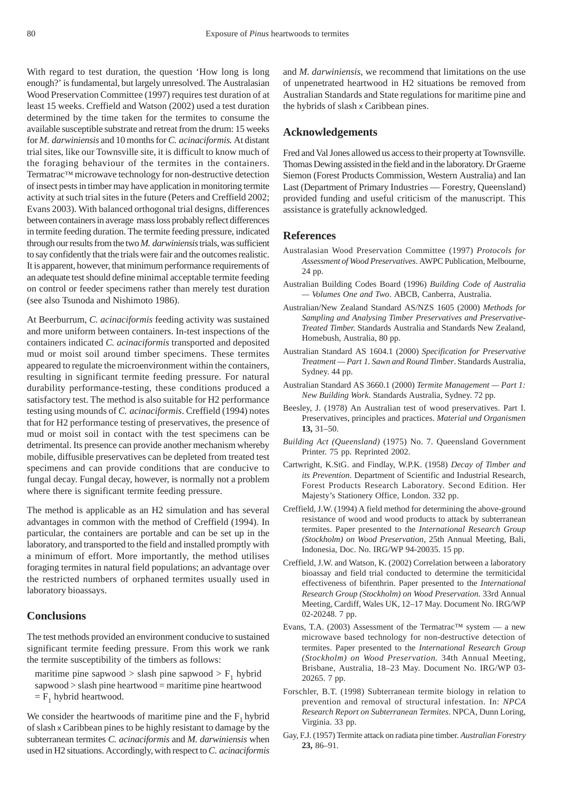With regard to test duration, the question 'How long is long enough?' is fundamental, but largely unresolved. The Australasian Wood Preservation Committee (1997) requires test duration of at least 15 weeks. Creffield and Watson (2002) used a test duration determined by the time taken for the termites to consume the available susceptible substrate and retreat from the drum: 15 weeks for *M. darwiniensis* and 10 months for *C. acinaciformis.* At distant trial sites, like our Townsville site, it is difficult to know much of the foraging behaviour of the termites in the containers. Termatrac™ microwave technology for non-destructive detection of insect pests in timber may have application in monitoring termite activity at such trial sites in the future (Peters and Creffield 2002; Evans 2003). With balanced orthogonal trial designs, differences between containers in average mass loss probably reflect differences in termite feeding duration. The termite feeding pressure, indicated through our results from the two *M. darwiniensis* trials, was sufficient to say confidently that the trials were fair and the outcomes realistic. It is apparent, however, that minimum performance requirements of an adequate test should define minimal acceptable termite feeding on control or feeder specimens rather than merely test duration (see also Tsunoda and Nishimoto 1986).

At Beerburrum, *C. acinaciformis* feeding activity was sustained and more uniform between containers. In-test inspections of the containers indicated *C. acinaciformis* transported and deposited mud or moist soil around timber specimens. These termites appeared to regulate the microenvironment within the containers, resulting in significant termite feeding pressure. For natural durability performance-testing, these conditions produced a satisfactory test. The method is also suitable for H2 performance testing using mounds of *C. acinaciformis*. Creffield (1994) notes that for H2 performance testing of preservatives, the presence of mud or moist soil in contact with the test specimens can be detrimental. Its presence can provide another mechanism whereby mobile, diffusible preservatives can be depleted from treated test specimens and can provide conditions that are conducive to fungal decay. Fungal decay, however, is normally not a problem where there is significant termite feeding pressure.

The method is applicable as an H2 simulation and has several advantages in common with the method of Creffield (1994). In particular, the containers are portable and can be set up in the laboratory, and transported to the field and installed promptly with a minimum of effort. More importantly, the method utilises foraging termites in natural field populations; an advantage over the restricted numbers of orphaned termites usually used in laboratory bioassays.

#### **Conclusions**

The test methods provided an environment conducive to sustained significant termite feeding pressure. From this work we rank the termite susceptibility of the timbers as follows:

maritime pine sapwood > slash pine sapwood >  $F_1$  hybrid sapwood > slash pine heartwood = maritime pine heartwood  $=$  F<sub>1</sub> hybrid heartwood.

We consider the heartwoods of maritime pine and the  $F_1$  hybrid of slash x Caribbean pines to be highly resistant to damage by the subterranean termites *C. acinaciformis* and *M. darwiniensis* when used in H2 situations. Accordingly, with respect to *C. acinaciformis* and *M. darwiniensis*, we recommend that limitations on the use of unpenetrated heartwood in H2 situations be removed from Australian Standards and State regulations for maritime pine and the hybrids of slash x Caribbean pines.

## **Acknowledgements**

Fred and Val Jones allowed us access to their property at Townsville. Thomas Dewing assisted in the field and in the laboratory. Dr Graeme Siemon (Forest Products Commission, Western Australia) and Ian Last (Department of Primary Industries — Forestry, Queensland) provided funding and useful criticism of the manuscript. This assistance is gratefully acknowledged.

## **References**

- Australasian Wood Preservation Committee (1997) *Protocols for Assessment of Wood Preservatives*. AWPC Publication, Melbourne, 24 pp.
- Australian Building Codes Board (1996) *Building Code of Australia — Volumes One and Two*. ABCB, Canberra, Australia.
- Australian/New Zealand Standard AS/NZS 1605 (2000) *Methods for Sampling and Analysing Timber Preservatives and Preservative-Treated Timber.* Standards Australia and Standards New Zealand, Homebush, Australia, 80 pp.
- Australian Standard AS 1604.1 (2000) *Specification for Preservative Treatment — Part 1. Sawn and Round Timber*. Standards Australia, Sydney. 44 pp.
- Australian Standard AS 3660.1 (2000) *Termite Management Part 1: New Building Work*. Standards Australia, Sydney. 72 pp.
- Beesley, J. (1978) An Australian test of wood preservatives. Part I. Preservatives, principles and practices. *Material und Organismen* **13,** 31–50.
- *Building Act (Queensland)* (1975) No. 7. Queensland Government Printer. 75 pp. Reprinted 2002.
- Cartwright, K.StG. and Findlay, W.P.K. (1958) *Decay of Timber and its Prevention*. Department of Scientific and Industrial Research, Forest Products Research Laboratory. Second Edition. Her Majesty's Stationery Office, London. 332 pp.
- Creffield, J.W. (1994) A field method for determining the above-ground resistance of wood and wood products to attack by subterranean termites. Paper presented to the *International Research Group (Stockholm) on Wood Preservation*, 25th Annual Meeting, Bali, Indonesia, Doc. No. IRG/WP 94-20035. 15 pp.
- Creffield, J.W. and Watson, K. (2002) Correlation between a laboratory bioassay and field trial conducted to determine the termiticidal effectiveness of bifenthrin. Paper presented to the *International Research Group (Stockholm) on Wood Preservation.* 33rd Annual Meeting, Cardiff, Wales UK, 12–17 May. Document No. IRG/WP 02-20248. 7 pp.
- Evans, T.A. (2003) Assessment of the Termatrac<sup>TM</sup> system  $-$  a new microwave based technology for non-destructive detection of termites. Paper presented to the *International Research Group (Stockholm) on Wood Preservation.* 34th Annual Meeting, Brisbane, Australia, 18–23 May. Document No. IRG/WP 03- 20265. 7 pp.
- Forschler, B.T. (1998) Subterranean termite biology in relation to prevention and removal of structural infestation. In: *NPCA Research Report on Subterranean Termites*. NPCA, Dunn Loring, Virginia. 33 pp.
- Gay, F.J. (1957) Termite attack on radiata pine timber. *Australian Forestry* **23,** 86–91.